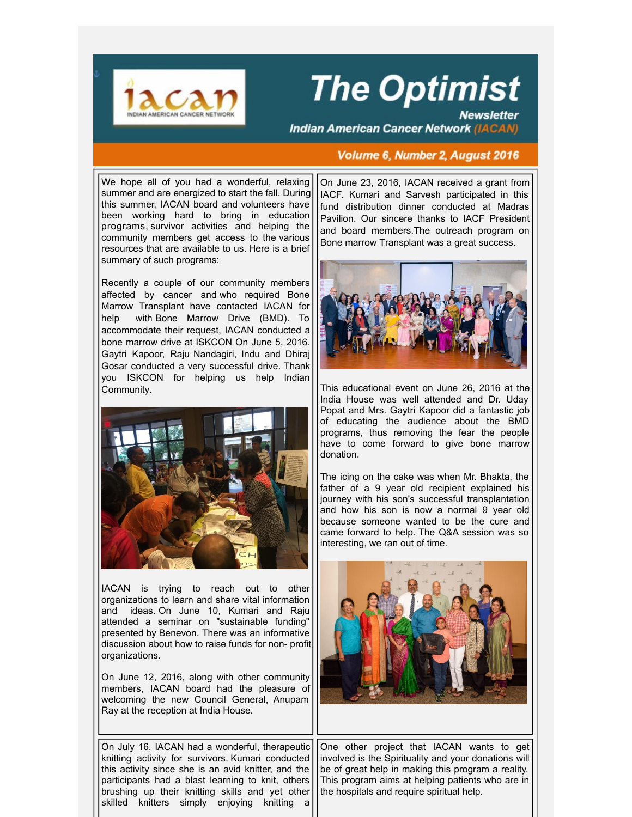

## **The Optimist**

**Newsletter Indian American Cancer Network (IACAN)** 

## **Volume 6, Number 2, August 2016**

We hope all of you had a wonderful, relaxing summer and are energized to start the fall. During this summer, IACAN board and volunteers have been working hard to bring in education programs, survivor activities and helping the community members get access to the various resources that are available to us. Here is a brief summary of such programs:

Recently a couple of our community members affected by cancer and who required Bone Marrow Transplant have contacted IACAN for help with Bone Marrow Drive (BMD). To accommodate their request, IACAN conducted a bone marrow drive at ISKCON On June 5, 2016. Gaytri Kapoor, Raju Nandagiri, Indu and Dhiraj Gosar conducted a very successful drive. Thank you ISKCON for helping us help Indian Community.



IACAN is trying to reach out to other organizations to learn and share vital information and ideas. On June 10, Kumari and Raju attended a seminar on "sustainable funding" presented by Benevon. There was an informative discussion about how to raise funds for non- profit organizations.

On June 12, 2016, along with other community members, IACAN board had the pleasure of welcoming the new Council General, Anupam Ray at the reception at India House.

On July 16, IACAN had a wonderful, therapeutic knitting activity for survivors. Kumari conducted this activity since she is an avid knitter, and the participants had a blast learning to knit, others brushing up their knitting skills and yet other skilled knitters simply enjoying knitting a

On June 23, 2016, IACAN received a grant from IACF. Kumari and Sarvesh participated in this fund distribution dinner conducted at Madras Pavilion. Our sincere thanks to IACF President and board members.The outreach program on Bone marrow Transplant was a great success.



This educational event on June 26, 2016 at the India House was well attended and Dr. Uday Popat and Mrs. Gaytri Kapoor did a fantastic job of educating the audience about the BMD programs, thus removing the fear the people have to come forward to give bone marrow donation.

The icing on the cake was when Mr. Bhakta, the father of a 9 year old recipient explained his journey with his son's successful transplantation and how his son is now a normal 9 year old because someone wanted to be the cure and came forward to help. The Q&A session was so interesting, we ran out of time.



One other project that IACAN wants to get involved is the Spirituality and your donations will be of great help in making this program a reality. This program aims at helping patients who are in the hospitals and require spiritual help.